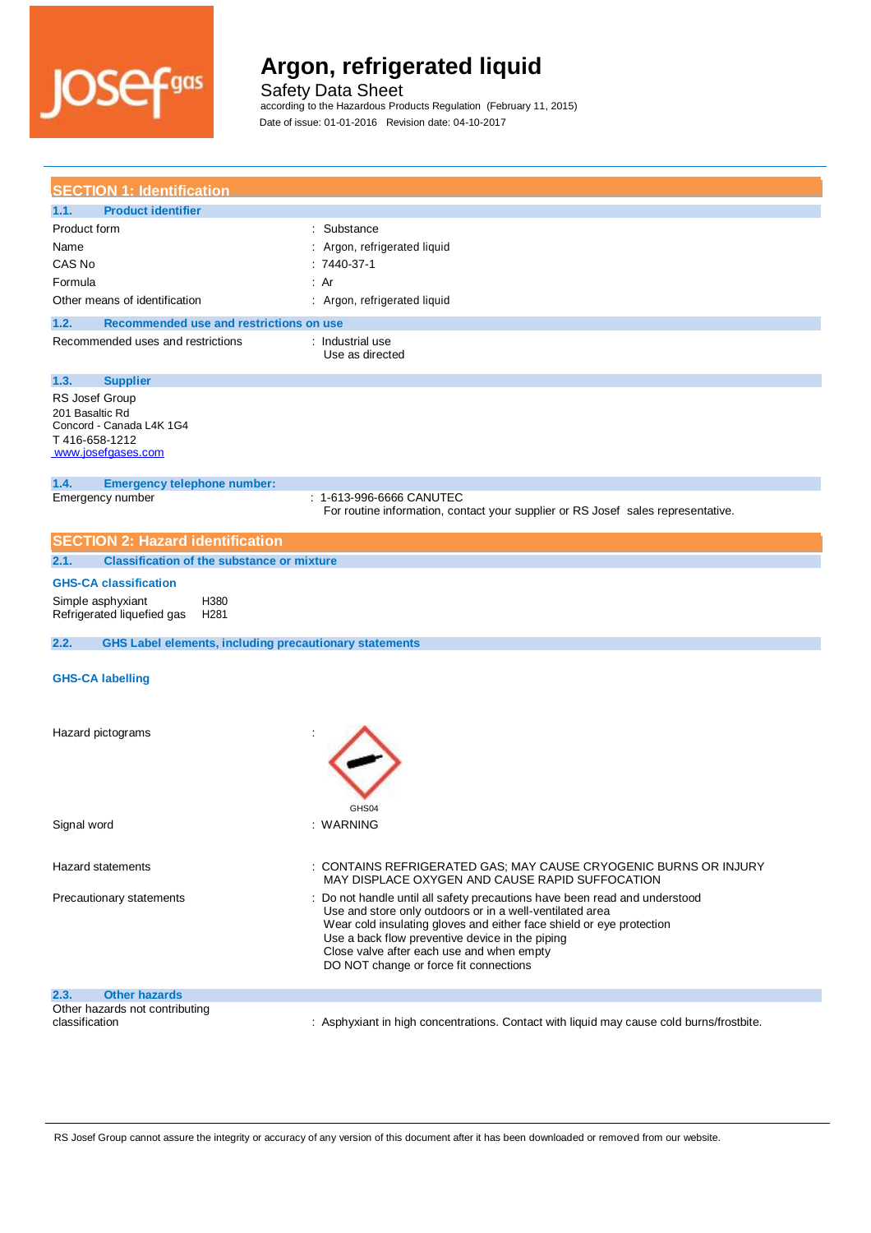

Safety Data Sheet

according to the Hazardous Products Regulation (February 11, 2015)

| <b>SECTION 1: Identification</b>                                                                                                                                   |                                                                                                                                                                                                                                                                                                                                                          |
|--------------------------------------------------------------------------------------------------------------------------------------------------------------------|----------------------------------------------------------------------------------------------------------------------------------------------------------------------------------------------------------------------------------------------------------------------------------------------------------------------------------------------------------|
| <b>Product identifier</b><br>1.1.                                                                                                                                  |                                                                                                                                                                                                                                                                                                                                                          |
| Product form<br>Name<br>CAS No<br>Formula<br>Other means of identification<br>1.2.<br>Recommended use and restrictions on use<br>Recommended uses and restrictions | : Substance<br>: Argon, refrigerated liquid<br>$: 7440-37-1$<br>: Ar<br>: Argon, refrigerated liquid<br>: Industrial use                                                                                                                                                                                                                                 |
|                                                                                                                                                                    | Use as directed                                                                                                                                                                                                                                                                                                                                          |
| 1.3.<br><b>Supplier</b><br>RS Josef Group<br>201 Basaltic Rd<br>Concord - Canada L4K 1G4<br>T416-658-1212<br>www.josefgases.com                                    |                                                                                                                                                                                                                                                                                                                                                          |
| 1.4.<br><b>Emergency telephone number:</b>                                                                                                                         |                                                                                                                                                                                                                                                                                                                                                          |
| Emergency number                                                                                                                                                   | : 1-613-996-6666 CANUTEC<br>For routine information, contact your supplier or RS Josef sales representative.                                                                                                                                                                                                                                             |
| <b>SECTION 2: Hazard identification</b>                                                                                                                            |                                                                                                                                                                                                                                                                                                                                                          |
| <b>Classification of the substance or mixture</b><br>2.1.                                                                                                          |                                                                                                                                                                                                                                                                                                                                                          |
| <b>GHS-CA classification</b><br>H380<br>Simple asphyxiant<br>Refrigerated liquefied gas<br>H <sub>281</sub>                                                        |                                                                                                                                                                                                                                                                                                                                                          |
| <b>GHS Label elements, including precautionary statements</b><br>2.2.                                                                                              |                                                                                                                                                                                                                                                                                                                                                          |
| <b>GHS-CA labelling</b>                                                                                                                                            |                                                                                                                                                                                                                                                                                                                                                          |
| Hazard pictograms                                                                                                                                                  |                                                                                                                                                                                                                                                                                                                                                          |
| Signal word                                                                                                                                                        | GHS04<br>: WARNING                                                                                                                                                                                                                                                                                                                                       |
| <b>Hazard statements</b>                                                                                                                                           | : CONTAINS REFRIGERATED GAS; MAY CAUSE CRYOGENIC BURNS OR INJURY<br>MAY DISPLACE OXYGEN AND CAUSE RAPID SUFFOCATION                                                                                                                                                                                                                                      |
| Precautionary statements                                                                                                                                           | : Do not handle until all safety precautions have been read and understood<br>Use and store only outdoors or in a well-ventilated area<br>Wear cold insulating gloves and either face shield or eye protection<br>Use a back flow preventive device in the piping<br>Close valve after each use and when empty<br>DO NOT change or force fit connections |
| 2.3.<br><b>Other hazards</b>                                                                                                                                       |                                                                                                                                                                                                                                                                                                                                                          |
| Other hazards not contributing<br>classification                                                                                                                   | : Asphyxiant in high concentrations. Contact with liquid may cause cold burns/frostbite.                                                                                                                                                                                                                                                                 |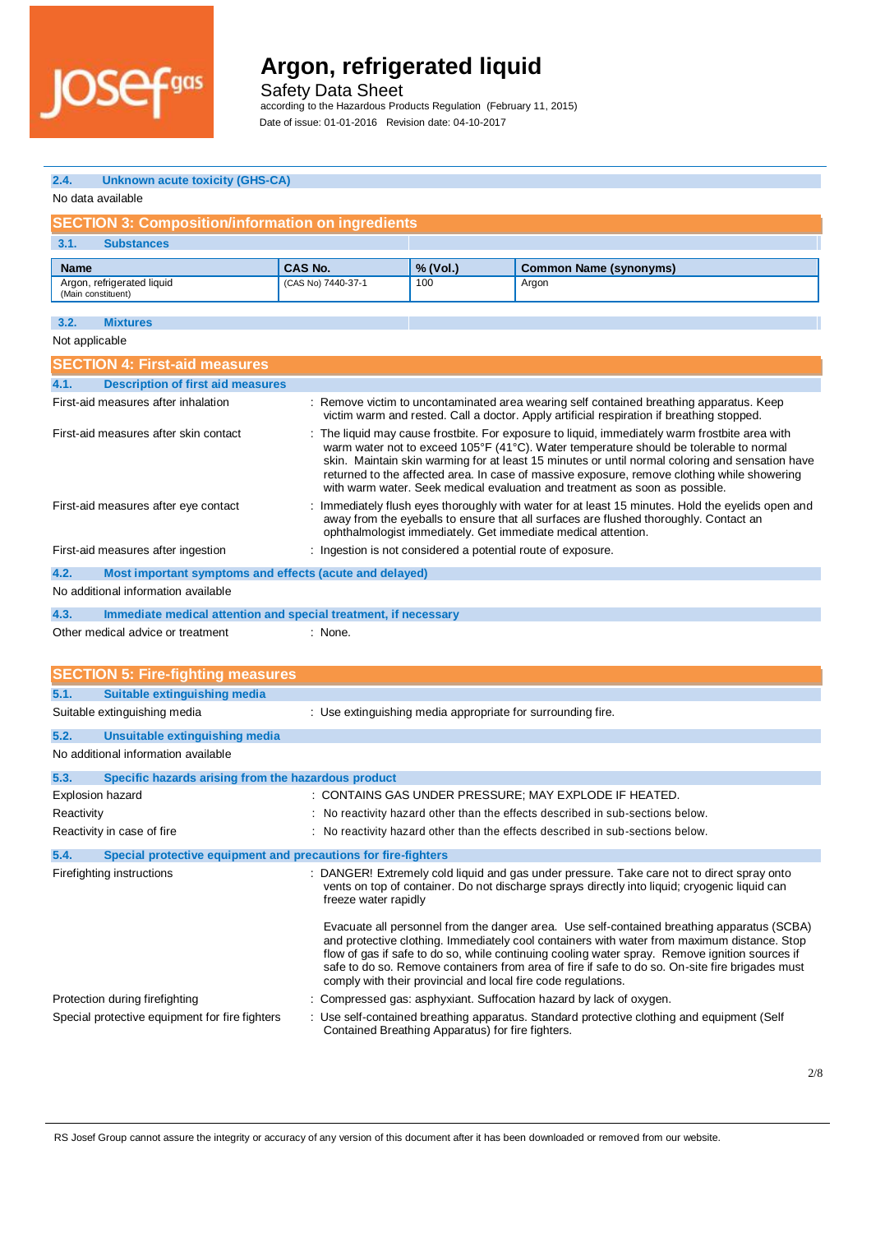

Safety Data Sheet

according to the Hazardous Products Regulation (February 11, 2015)

| 2.4.<br><b>Unknown acute toxicity (GHS-CA)</b>                                                                                                                                                                                                                                                                                                                                                                                                                                                                     |                      |          |                                                                                                                                                                                                                                                                                                                                                                                                                                                                 |  |
|--------------------------------------------------------------------------------------------------------------------------------------------------------------------------------------------------------------------------------------------------------------------------------------------------------------------------------------------------------------------------------------------------------------------------------------------------------------------------------------------------------------------|----------------------|----------|-----------------------------------------------------------------------------------------------------------------------------------------------------------------------------------------------------------------------------------------------------------------------------------------------------------------------------------------------------------------------------------------------------------------------------------------------------------------|--|
| No data available                                                                                                                                                                                                                                                                                                                                                                                                                                                                                                  |                      |          |                                                                                                                                                                                                                                                                                                                                                                                                                                                                 |  |
| <b>SECTION 3: Composition/information on ingredients</b>                                                                                                                                                                                                                                                                                                                                                                                                                                                           |                      |          |                                                                                                                                                                                                                                                                                                                                                                                                                                                                 |  |
| 3.1.<br><b>Substances</b>                                                                                                                                                                                                                                                                                                                                                                                                                                                                                          |                      |          |                                                                                                                                                                                                                                                                                                                                                                                                                                                                 |  |
| Name                                                                                                                                                                                                                                                                                                                                                                                                                                                                                                               | <b>CAS No.</b>       | % (Vol.) | <b>Common Name (synonyms)</b>                                                                                                                                                                                                                                                                                                                                                                                                                                   |  |
| Argon, refrigerated liquid                                                                                                                                                                                                                                                                                                                                                                                                                                                                                         | (CAS No) 7440-37-1   | 100      | Argon                                                                                                                                                                                                                                                                                                                                                                                                                                                           |  |
| (Main constituent)                                                                                                                                                                                                                                                                                                                                                                                                                                                                                                 |                      |          |                                                                                                                                                                                                                                                                                                                                                                                                                                                                 |  |
| 3.2.<br><b>Mixtures</b>                                                                                                                                                                                                                                                                                                                                                                                                                                                                                            |                      |          |                                                                                                                                                                                                                                                                                                                                                                                                                                                                 |  |
| Not applicable                                                                                                                                                                                                                                                                                                                                                                                                                                                                                                     |                      |          |                                                                                                                                                                                                                                                                                                                                                                                                                                                                 |  |
| <b>SECTION 4: First-aid measures</b>                                                                                                                                                                                                                                                                                                                                                                                                                                                                               |                      |          |                                                                                                                                                                                                                                                                                                                                                                                                                                                                 |  |
| 4.1.<br><b>Description of first aid measures</b>                                                                                                                                                                                                                                                                                                                                                                                                                                                                   |                      |          |                                                                                                                                                                                                                                                                                                                                                                                                                                                                 |  |
| First-aid measures after inhalation                                                                                                                                                                                                                                                                                                                                                                                                                                                                                |                      |          | : Remove victim to uncontaminated area wearing self contained breathing apparatus. Keep<br>victim warm and rested. Call a doctor. Apply artificial respiration if breathing stopped.                                                                                                                                                                                                                                                                            |  |
| : The liquid may cause frostbite. For exposure to liquid, immediately warm frostbite area with<br>First-aid measures after skin contact<br>warm water not to exceed 105°F (41°C). Water temperature should be tolerable to normal<br>skin. Maintain skin warming for at least 15 minutes or until normal coloring and sensation have<br>returned to the affected area. In case of massive exposure, remove clothing while showering<br>with warm water. Seek medical evaluation and treatment as soon as possible. |                      |          |                                                                                                                                                                                                                                                                                                                                                                                                                                                                 |  |
| First-aid measures after eye contact                                                                                                                                                                                                                                                                                                                                                                                                                                                                               |                      |          | Immediately flush eyes thoroughly with water for at least 15 minutes. Hold the eyelids open and<br>away from the eyeballs to ensure that all surfaces are flushed thoroughly. Contact an<br>ophthalmologist immediately. Get immediate medical attention.                                                                                                                                                                                                       |  |
| First-aid measures after ingestion                                                                                                                                                                                                                                                                                                                                                                                                                                                                                 |                      |          | : Ingestion is not considered a potential route of exposure.                                                                                                                                                                                                                                                                                                                                                                                                    |  |
| 4.2.<br>Most important symptoms and effects (acute and delayed)                                                                                                                                                                                                                                                                                                                                                                                                                                                    |                      |          |                                                                                                                                                                                                                                                                                                                                                                                                                                                                 |  |
| No additional information available                                                                                                                                                                                                                                                                                                                                                                                                                                                                                |                      |          |                                                                                                                                                                                                                                                                                                                                                                                                                                                                 |  |
| 4.3.<br>Immediate medical attention and special treatment, if necessary                                                                                                                                                                                                                                                                                                                                                                                                                                            |                      |          |                                                                                                                                                                                                                                                                                                                                                                                                                                                                 |  |
| Other medical advice or treatment<br>: None.                                                                                                                                                                                                                                                                                                                                                                                                                                                                       |                      |          |                                                                                                                                                                                                                                                                                                                                                                                                                                                                 |  |
| <b>SECTION 5: Fire-fighting measures</b>                                                                                                                                                                                                                                                                                                                                                                                                                                                                           |                      |          |                                                                                                                                                                                                                                                                                                                                                                                                                                                                 |  |
| <b>Suitable extinguishing media</b><br>5.1.                                                                                                                                                                                                                                                                                                                                                                                                                                                                        |                      |          |                                                                                                                                                                                                                                                                                                                                                                                                                                                                 |  |
| Suitable extinguishing media                                                                                                                                                                                                                                                                                                                                                                                                                                                                                       |                      |          | : Use extinguishing media appropriate for surrounding fire.                                                                                                                                                                                                                                                                                                                                                                                                     |  |
| 5.2.<br><b>Unsuitable extinguishing media</b>                                                                                                                                                                                                                                                                                                                                                                                                                                                                      |                      |          |                                                                                                                                                                                                                                                                                                                                                                                                                                                                 |  |
| No additional information available                                                                                                                                                                                                                                                                                                                                                                                                                                                                                |                      |          |                                                                                                                                                                                                                                                                                                                                                                                                                                                                 |  |
| 5.3.<br>Specific hazards arising from the hazardous product                                                                                                                                                                                                                                                                                                                                                                                                                                                        |                      |          |                                                                                                                                                                                                                                                                                                                                                                                                                                                                 |  |
| Explosion hazard                                                                                                                                                                                                                                                                                                                                                                                                                                                                                                   |                      |          | : CONTAINS GAS UNDER PRESSURE; MAY EXPLODE IF HEATED.                                                                                                                                                                                                                                                                                                                                                                                                           |  |
| Reactivity                                                                                                                                                                                                                                                                                                                                                                                                                                                                                                         |                      |          | No reactivity hazard other than the effects described in sub-sections below.                                                                                                                                                                                                                                                                                                                                                                                    |  |
| Reactivity in case of fire                                                                                                                                                                                                                                                                                                                                                                                                                                                                                         |                      |          | : No reactivity hazard other than the effects described in sub-sections below.                                                                                                                                                                                                                                                                                                                                                                                  |  |
| 5.4.<br>Special protective equipment and precautions for fire-fighters                                                                                                                                                                                                                                                                                                                                                                                                                                             |                      |          |                                                                                                                                                                                                                                                                                                                                                                                                                                                                 |  |
| Firefighting instructions                                                                                                                                                                                                                                                                                                                                                                                                                                                                                          | freeze water rapidly |          | : DANGER! Extremely cold liquid and gas under pressure. Take care not to direct spray onto<br>vents on top of container. Do not discharge sprays directly into liquid; cryogenic liquid can                                                                                                                                                                                                                                                                     |  |
|                                                                                                                                                                                                                                                                                                                                                                                                                                                                                                                    |                      |          | Evacuate all personnel from the danger area. Use self-contained breathing apparatus (SCBA)<br>and protective clothing. Immediately cool containers with water from maximum distance. Stop<br>flow of gas if safe to do so, while continuing cooling water spray. Remove ignition sources if<br>safe to do so. Remove containers from area of fire if safe to do so. On-site fire brigades must<br>comply with their provincial and local fire code regulations. |  |
| Protection during firefighting                                                                                                                                                                                                                                                                                                                                                                                                                                                                                     |                      |          | Compressed gas: asphyxiant. Suffocation hazard by lack of oxygen.                                                                                                                                                                                                                                                                                                                                                                                               |  |
| Special protective equipment for fire fighters                                                                                                                                                                                                                                                                                                                                                                                                                                                                     |                      |          | : Use self-contained breathing apparatus. Standard protective clothing and equipment (Self<br>Contained Breathing Apparatus) for fire fighters.                                                                                                                                                                                                                                                                                                                 |  |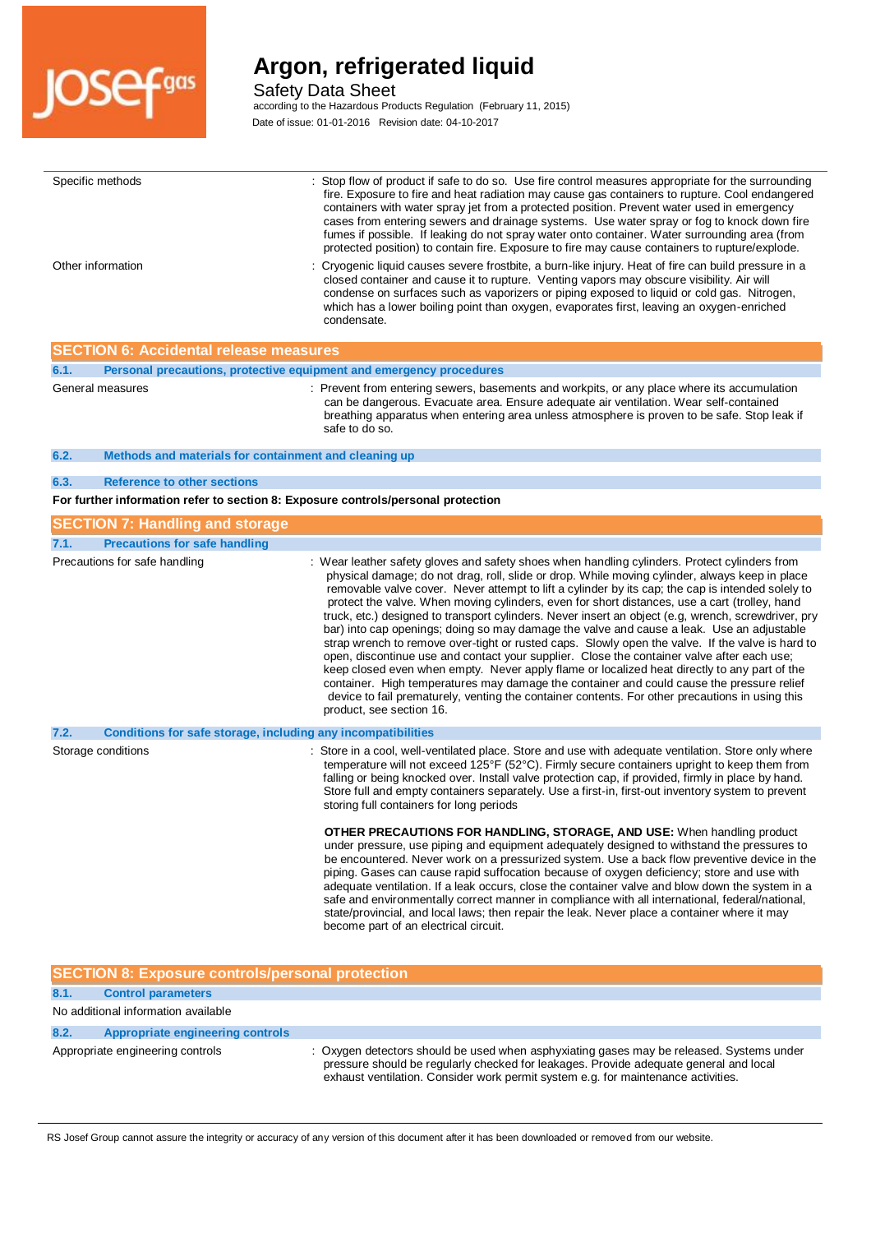

Safety Data Sheet

according to the Hazardous Products Regulation (February 11, 2015)

| Specific methods                                                                  | Stop flow of product if safe to do so. Use fire control measures appropriate for the surrounding<br>fire. Exposure to fire and heat radiation may cause gas containers to rupture. Cool endangered<br>containers with water spray jet from a protected position. Prevent water used in emergency<br>cases from entering sewers and drainage systems. Use water spray or fog to knock down fire<br>fumes if possible. If leaking do not spray water onto container. Water surrounding area (from<br>protected position) to contain fire. Exposure to fire may cause containers to rupture/explode.                                                                                                                                                                                                                                                                                                                                                                                                                                                                                                                                       |
|-----------------------------------------------------------------------------------|-----------------------------------------------------------------------------------------------------------------------------------------------------------------------------------------------------------------------------------------------------------------------------------------------------------------------------------------------------------------------------------------------------------------------------------------------------------------------------------------------------------------------------------------------------------------------------------------------------------------------------------------------------------------------------------------------------------------------------------------------------------------------------------------------------------------------------------------------------------------------------------------------------------------------------------------------------------------------------------------------------------------------------------------------------------------------------------------------------------------------------------------|
| Other information                                                                 | : Cryogenic liquid causes severe frostbite, a burn-like injury. Heat of fire can build pressure in a<br>closed container and cause it to rupture. Venting vapors may obscure visibility. Air will<br>condense on surfaces such as vaporizers or piping exposed to liquid or cold gas. Nitrogen,<br>which has a lower boiling point than oxygen, evaporates first, leaving an oxygen-enriched<br>condensate.                                                                                                                                                                                                                                                                                                                                                                                                                                                                                                                                                                                                                                                                                                                             |
| <b>SECTION 6: Accidental release measures</b>                                     |                                                                                                                                                                                                                                                                                                                                                                                                                                                                                                                                                                                                                                                                                                                                                                                                                                                                                                                                                                                                                                                                                                                                         |
| Personal precautions, protective equipment and emergency procedures<br>6.1.       |                                                                                                                                                                                                                                                                                                                                                                                                                                                                                                                                                                                                                                                                                                                                                                                                                                                                                                                                                                                                                                                                                                                                         |
| General measures                                                                  | : Prevent from entering sewers, basements and workpits, or any place where its accumulation<br>can be dangerous. Evacuate area. Ensure adequate air ventilation. Wear self-contained<br>breathing apparatus when entering area unless atmosphere is proven to be safe. Stop leak if<br>safe to do so.                                                                                                                                                                                                                                                                                                                                                                                                                                                                                                                                                                                                                                                                                                                                                                                                                                   |
| 6.2.<br>Methods and materials for containment and cleaning up                     |                                                                                                                                                                                                                                                                                                                                                                                                                                                                                                                                                                                                                                                                                                                                                                                                                                                                                                                                                                                                                                                                                                                                         |
| <b>Reference to other sections</b><br>6.3.                                        |                                                                                                                                                                                                                                                                                                                                                                                                                                                                                                                                                                                                                                                                                                                                                                                                                                                                                                                                                                                                                                                                                                                                         |
| For further information refer to section 8: Exposure controls/personal protection |                                                                                                                                                                                                                                                                                                                                                                                                                                                                                                                                                                                                                                                                                                                                                                                                                                                                                                                                                                                                                                                                                                                                         |
|                                                                                   |                                                                                                                                                                                                                                                                                                                                                                                                                                                                                                                                                                                                                                                                                                                                                                                                                                                                                                                                                                                                                                                                                                                                         |
| <b>SECTION 7: Handling and storage</b>                                            |                                                                                                                                                                                                                                                                                                                                                                                                                                                                                                                                                                                                                                                                                                                                                                                                                                                                                                                                                                                                                                                                                                                                         |
| <b>Precautions for safe handling</b><br>7.1.                                      |                                                                                                                                                                                                                                                                                                                                                                                                                                                                                                                                                                                                                                                                                                                                                                                                                                                                                                                                                                                                                                                                                                                                         |
| Precautions for safe handling                                                     | : Wear leather safety gloves and safety shoes when handling cylinders. Protect cylinders from<br>physical damage; do not drag, roll, slide or drop. While moving cylinder, always keep in place<br>removable valve cover. Never attempt to lift a cylinder by its cap; the cap is intended solely to<br>protect the valve. When moving cylinders, even for short distances, use a cart (trolley, hand<br>truck, etc.) designed to transport cylinders. Never insert an object (e.g. wrench, screwdriver, pry<br>bar) into cap openings; doing so may damage the valve and cause a leak. Use an adjustable<br>strap wrench to remove over-tight or rusted caps. Slowly open the valve. If the valve is hard to<br>open, discontinue use and contact your supplier. Close the container valve after each use;<br>keep closed even when empty. Never apply flame or localized heat directly to any part of the<br>container. High temperatures may damage the container and could cause the pressure relief<br>device to fail prematurely, venting the container contents. For other precautions in using this<br>product, see section 16. |
| 7.2.<br>Conditions for safe storage, including any incompatibilities              |                                                                                                                                                                                                                                                                                                                                                                                                                                                                                                                                                                                                                                                                                                                                                                                                                                                                                                                                                                                                                                                                                                                                         |
| Storage conditions                                                                | : Store in a cool, well-ventilated place. Store and use with adequate ventilation. Store only where<br>temperature will not exceed 125°F (52°C). Firmly secure containers upright to keep them from<br>falling or being knocked over. Install valve protection cap, if provided, firmly in place by hand.<br>Store full and empty containers separately. Use a first-in, first-out inventory system to prevent<br>storing full containers for long periods                                                                                                                                                                                                                                                                                                                                                                                                                                                                                                                                                                                                                                                                              |

**OTHER PRECAUTIONS FOR HANDLING, STORAGE, AND USE:** When handling product under pressure, use piping and equipment adequately designed to withstand the pressures to be encountered. Never work on a pressurized system. Use a back flow preventive device in the piping. Gases can cause rapid suffocation because of oxygen deficiency; store and use with adequate ventilation. If a leak occurs, close the container valve and blow down the system in a safe and environmentally correct manner in compliance with all international, federal/national, state/provincial, and local laws; then repair the leak. Never place a container where it may become part of an electrical circuit.

| <b>SECTION 8: Exposure controls/personal protection</b> |                                                                                                                                                                                                                                                                        |
|---------------------------------------------------------|------------------------------------------------------------------------------------------------------------------------------------------------------------------------------------------------------------------------------------------------------------------------|
| 8.1.<br><b>Control parameters</b>                       |                                                                                                                                                                                                                                                                        |
| No additional information available                     |                                                                                                                                                                                                                                                                        |
| Appropriate engineering controls<br>8.2.                |                                                                                                                                                                                                                                                                        |
| Appropriate engineering controls                        | : Oxygen detectors should be used when asphyxiating gases may be released. Systems under<br>pressure should be regularly checked for leakages. Provide adequate general and local<br>exhaust ventilation. Consider work permit system e.g. for maintenance activities. |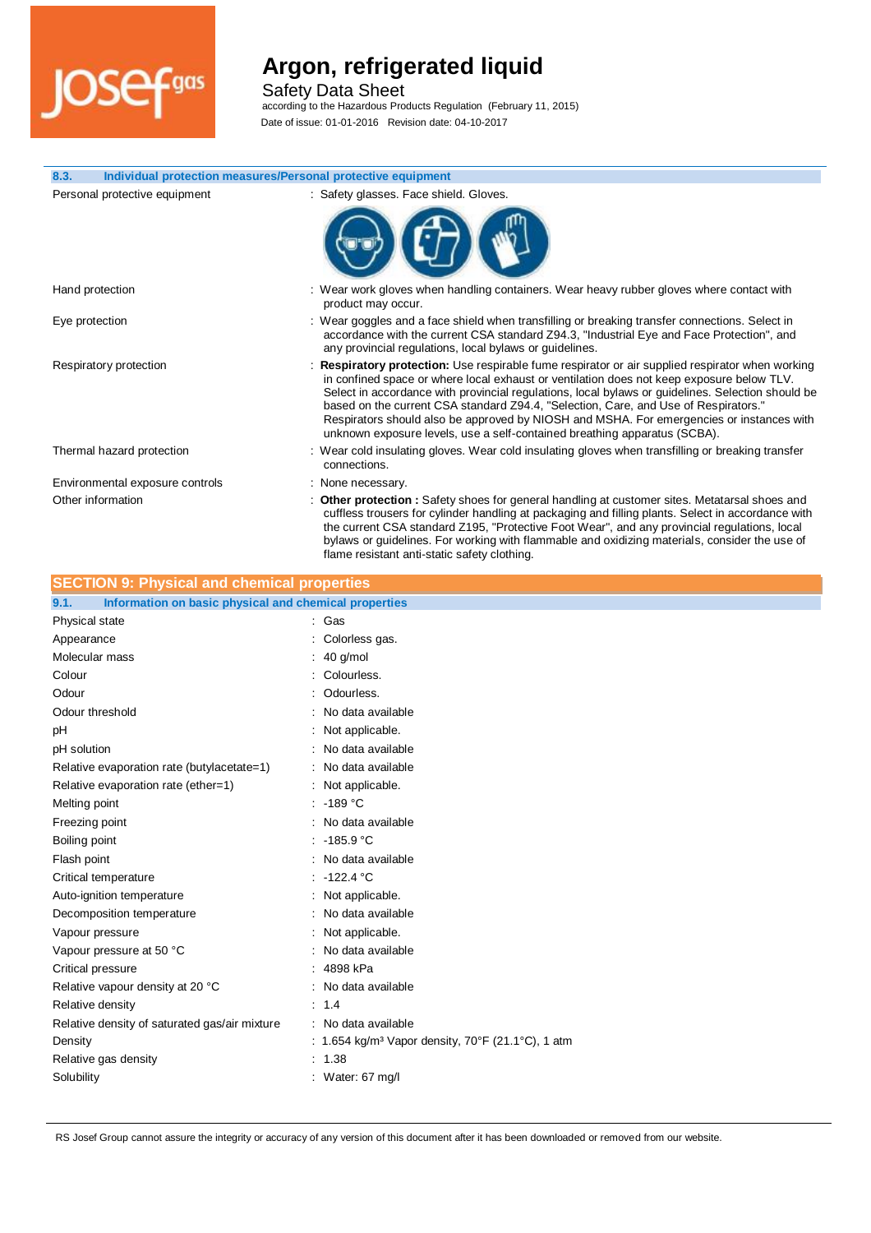

Safety Data Sheet

according to the Hazardous Products Regulation (February 11, 2015)

| Individual protection measures/Personal protective equipment<br>8.3. |                                                                                                                                                                                                                                                                                                                                                                                                                                                                                                                                                                  |
|----------------------------------------------------------------------|------------------------------------------------------------------------------------------------------------------------------------------------------------------------------------------------------------------------------------------------------------------------------------------------------------------------------------------------------------------------------------------------------------------------------------------------------------------------------------------------------------------------------------------------------------------|
| Personal protective equipment                                        | : Safety glasses. Face shield. Gloves.                                                                                                                                                                                                                                                                                                                                                                                                                                                                                                                           |
|                                                                      |                                                                                                                                                                                                                                                                                                                                                                                                                                                                                                                                                                  |
| Hand protection                                                      | : Wear work gloves when handling containers. Wear heavy rubber gloves where contact with<br>product may occur.                                                                                                                                                                                                                                                                                                                                                                                                                                                   |
| Eye protection                                                       | : Wear goggles and a face shield when transfilling or breaking transfer connections. Select in<br>accordance with the current CSA standard Z94.3, "Industrial Eye and Face Protection", and<br>any provincial regulations, local bylaws or guidelines.                                                                                                                                                                                                                                                                                                           |
| Respiratory protection                                               | Respiratory protection: Use respirable fume respirator or air supplied respirator when working<br>in confined space or where local exhaust or ventilation does not keep exposure below TLV.<br>Select in accordance with provincial regulations, local bylaws or guidelines. Selection should be<br>based on the current CSA standard Z94.4, "Selection, Care, and Use of Respirators."<br>Respirators should also be approved by NIOSH and MSHA. For emergencies or instances with<br>unknown exposure levels, use a self-contained breathing apparatus (SCBA). |
| Thermal hazard protection                                            | : Wear cold insulating gloves. Wear cold insulating gloves when transfilling or breaking transfer<br>connections.                                                                                                                                                                                                                                                                                                                                                                                                                                                |
| Environmental exposure controls                                      | : None necessary.                                                                                                                                                                                                                                                                                                                                                                                                                                                                                                                                                |
| Other information                                                    | : Other protection : Safety shoes for general handling at customer sites. Metatarsal shoes and<br>cuffless trousers for cylinder handling at packaging and filling plants. Select in accordance with<br>the current CSA standard Z195, "Protective Foot Wear", and any provincial regulations, local<br>bylaws or guidelines. For working with flammable and oxidizing materials, consider the use of                                                                                                                                                            |

flame resistant anti-static safety clothing.

# **SECTION 9: Physical and chemical properties**

| Information on basic physical and chemical properties<br>9.1. |                                                               |
|---------------------------------------------------------------|---------------------------------------------------------------|
| Physical state                                                | : Gas                                                         |
| Appearance                                                    | : Colorless gas.                                              |
| Molecular mass                                                | : 40 g/mol                                                    |
| Colour                                                        | : Colourless.                                                 |
| Odour                                                         | : Odourless.                                                  |
| Odour threshold                                               | : No data available                                           |
| рH                                                            | Not applicable.                                               |
| pH solution                                                   | : No data available                                           |
| Relative evaporation rate (butylacetate=1)                    | : No data available                                           |
| Relative evaporation rate (ether=1)                           | : Not applicable.                                             |
| Melting point                                                 | : 189 °C                                                      |
| Freezing point                                                | No data available                                             |
| Boiling point                                                 | : 185.9 °C                                                    |
| Flash point                                                   | : No data available                                           |
| Critical temperature                                          | $\therefore$ -122.4 °C                                        |
| Auto-ignition temperature                                     | : Not applicable.                                             |
| Decomposition temperature                                     | : No data available                                           |
| Vapour pressure                                               | : Not applicable.                                             |
| Vapour pressure at 50 °C                                      | : No data available                                           |
| Critical pressure                                             | : 4898 kPa                                                    |
| Relative vapour density at 20 °C                              | : No data available                                           |
| Relative density                                              | : 1.4                                                         |
| Relative density of saturated gas/air mixture                 | : No data available                                           |
| Density                                                       | : 1.654 kg/m <sup>3</sup> Vapor density, 70°F (21.1°C), 1 atm |
| Relative gas density                                          | : 1.38                                                        |
| Solubility                                                    | : Water: $67 \text{ mg/l}$                                    |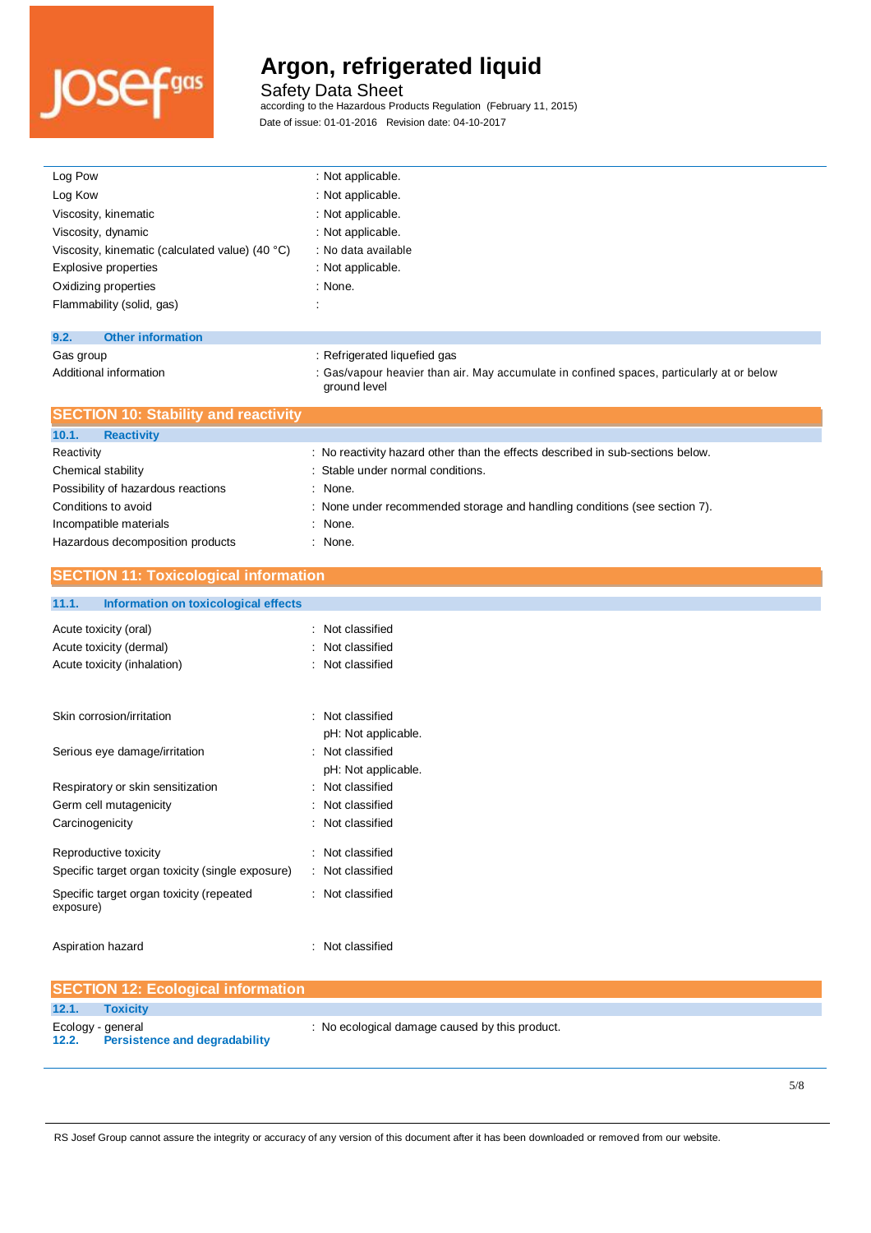

Safety Data Sheet

ground level

according to the Hazardous Products Regulation (February 11, 2015)

| Log Pow                                         | : Not applicable.                                                                          |
|-------------------------------------------------|--------------------------------------------------------------------------------------------|
| Log Kow                                         | : Not applicable.                                                                          |
| Viscosity, kinematic                            | : Not applicable.                                                                          |
| Viscosity, dynamic                              | : Not applicable.                                                                          |
| Viscosity, kinematic (calculated value) (40 °C) | : No data available                                                                        |
| Explosive properties                            | : Not applicable.                                                                          |
| Oxidizing properties                            | : None.                                                                                    |
| Flammability (solid, gas)                       |                                                                                            |
|                                                 |                                                                                            |
| 9.2.<br><b>Other information</b>                |                                                                                            |
| Gas group                                       | : Refrigerated liquefied gas                                                               |
| Additional information                          | : Gas/vapour heavier than air. May accumulate in confined spaces, particularly at or below |

| <b>SECTION 10: Stability and reactivity</b> |                                                                                |
|---------------------------------------------|--------------------------------------------------------------------------------|
| 10.1.<br><b>Reactivity</b>                  |                                                                                |
| Reactivity                                  | : No reactivity hazard other than the effects described in sub-sections below. |
| Chemical stability                          | : Stable under normal conditions.                                              |
| Possibility of hazardous reactions          | $:$ None.                                                                      |
| Conditions to avoid                         | : None under recommended storage and handling conditions (see section 7).      |
| Incompatible materials                      | : None.                                                                        |
| Hazardous decomposition products            | : None.                                                                        |

### **SECTION 11: Toxicological information**

#### **11.1. Information on toxicological effects**

| Acute toxicity (oral)<br>Acute toxicity (dermal)<br>Acute toxicity (inhalation) | Not classified<br>: Not classified<br>: Not classified |
|---------------------------------------------------------------------------------|--------------------------------------------------------|
| Skin corrosion/irritation                                                       | : Not classified<br>pH: Not applicable.                |
| Serious eye damage/irritation                                                   | : Not classified<br>pH: Not applicable.                |
| Respiratory or skin sensitization                                               | : Not classified                                       |
| Germ cell mutagenicity                                                          | : Not classified                                       |
| Carcinogenicity                                                                 | : Not classified                                       |
| Reproductive toxicity<br>Specific target organ toxicity (single exposure)       | Not classified<br>Not classified                       |
| Specific target organ toxicity (repeated<br>exposure)                           | Not classified                                         |
| Aspiration hazard                                                               | Not classified                                         |

|                   | <b>SECTION 12: Ecological information</b> |                                                |
|-------------------|-------------------------------------------|------------------------------------------------|
| 12.1.             | Toxicity                                  |                                                |
| Ecology - general | 12.2. Persistence and degradability       | : No ecological damage caused by this product. |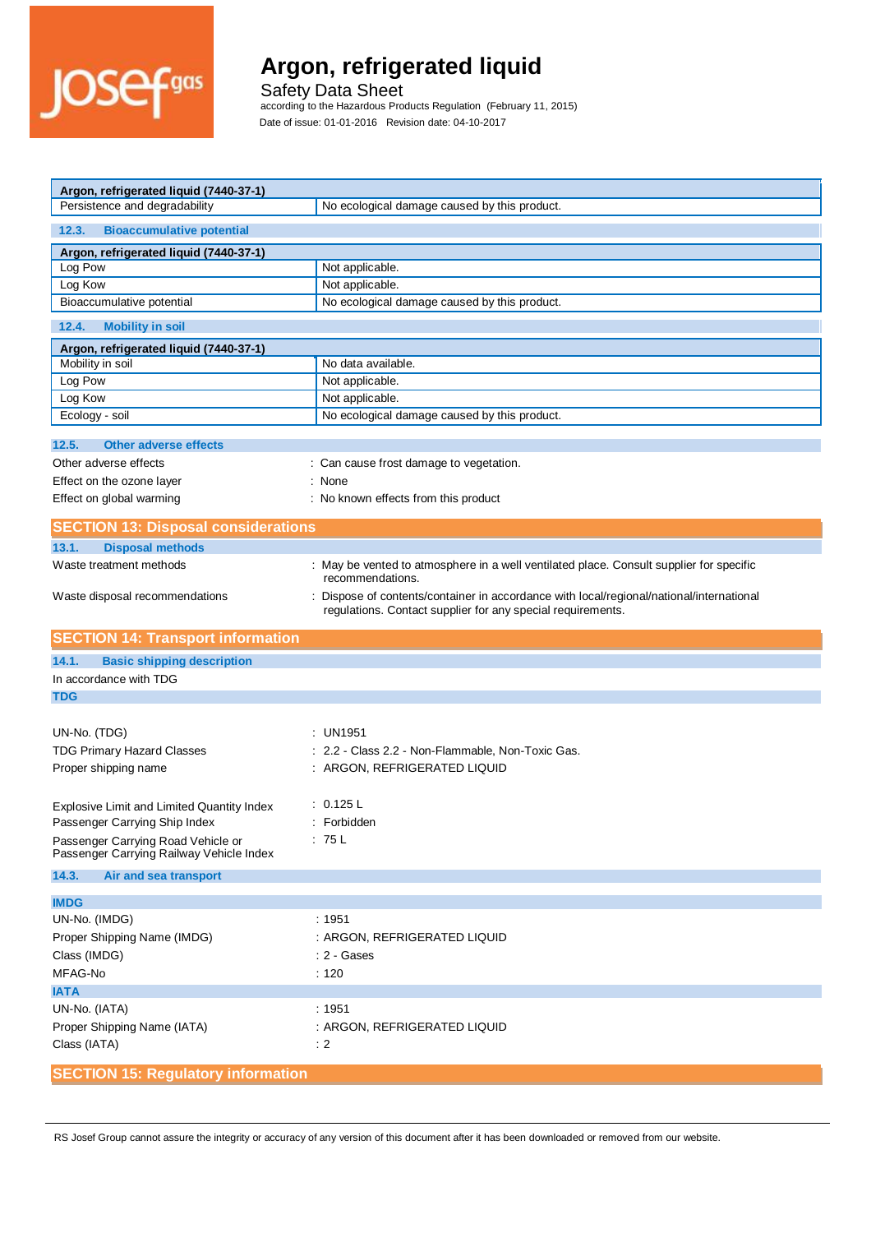

Safety Data Sheet

according to the Hazardous Products Regulation (February 11, 2015)

| Argon, refrigerated liquid (7440-37-1)                                         |                                                                                                                                                         |  |
|--------------------------------------------------------------------------------|---------------------------------------------------------------------------------------------------------------------------------------------------------|--|
| Persistence and degradability                                                  | No ecological damage caused by this product.                                                                                                            |  |
| 12.3.<br><b>Bioaccumulative potential</b>                                      |                                                                                                                                                         |  |
| Argon, refrigerated liquid (7440-37-1)                                         |                                                                                                                                                         |  |
| Log Pow                                                                        | Not applicable.                                                                                                                                         |  |
| Log Kow                                                                        | Not applicable.                                                                                                                                         |  |
| Bioaccumulative potential                                                      | No ecological damage caused by this product.                                                                                                            |  |
| 12.4.<br><b>Mobility in soil</b>                                               |                                                                                                                                                         |  |
| Argon, refrigerated liquid (7440-37-1)                                         |                                                                                                                                                         |  |
| Mobility in soil                                                               | No data available.                                                                                                                                      |  |
| Log Pow                                                                        | Not applicable.                                                                                                                                         |  |
| Log Kow                                                                        | Not applicable.                                                                                                                                         |  |
| Ecology - soil                                                                 | No ecological damage caused by this product.                                                                                                            |  |
|                                                                                |                                                                                                                                                         |  |
| 12.5.<br><b>Other adverse effects</b>                                          |                                                                                                                                                         |  |
| Other adverse effects                                                          | : Can cause frost damage to vegetation.                                                                                                                 |  |
| Effect on the ozone layer                                                      | : None                                                                                                                                                  |  |
| Effect on global warming                                                       | : No known effects from this product                                                                                                                    |  |
| <b>SECTION 13: Disposal considerations</b>                                     |                                                                                                                                                         |  |
| 13.1.<br><b>Disposal methods</b>                                               |                                                                                                                                                         |  |
| Waste treatment methods                                                        | : May be vented to atmosphere in a well ventilated place. Consult supplier for specific<br>recommendations.                                             |  |
| Waste disposal recommendations                                                 | : Dispose of contents/container in accordance with local/regional/national/international<br>regulations. Contact supplier for any special requirements. |  |
|                                                                                |                                                                                                                                                         |  |
| <b>SECTION 14: Transport information</b>                                       |                                                                                                                                                         |  |
| 14.1.<br><b>Basic shipping description</b>                                     |                                                                                                                                                         |  |
| In accordance with TDG                                                         |                                                                                                                                                         |  |
| <b>TDG</b>                                                                     |                                                                                                                                                         |  |
|                                                                                |                                                                                                                                                         |  |
| UN-No. (TDG)                                                                   | : UN1951                                                                                                                                                |  |
|                                                                                | 2.2 - Class 2.2 - Non-Flammable, Non-Toxic Gas.                                                                                                         |  |
| <b>TDG Primary Hazard Classes</b>                                              |                                                                                                                                                         |  |
| Proper shipping name                                                           | : ARGON, REFRIGERATED LIQUID                                                                                                                            |  |
|                                                                                | : 0.125 L                                                                                                                                               |  |
| Explosive Limit and Limited Quantity Index                                     | Forbidden                                                                                                                                               |  |
| Passenger Carrying Ship Index                                                  |                                                                                                                                                         |  |
| Passenger Carrying Road Vehicle or<br>Passenger Carrying Railway Vehicle Index | ∶75 L                                                                                                                                                   |  |
| 14.3.<br>Air and sea transport                                                 |                                                                                                                                                         |  |
|                                                                                |                                                                                                                                                         |  |
| <b>IMDG</b>                                                                    |                                                                                                                                                         |  |
| UN-No. (IMDG)                                                                  | : 1951                                                                                                                                                  |  |
| Proper Shipping Name (IMDG)                                                    | : ARGON, REFRIGERATED LIQUID                                                                                                                            |  |
| Class (IMDG)                                                                   | : 2 - Gases                                                                                                                                             |  |
| MFAG-No                                                                        | : 120                                                                                                                                                   |  |
| <b>IATA</b>                                                                    |                                                                                                                                                         |  |
| UN-No. (IATA)                                                                  | : 1951                                                                                                                                                  |  |
| Proper Shipping Name (IATA)                                                    | : ARGON, REFRIGERATED LIQUID                                                                                                                            |  |
| Class (IATA)                                                                   | $\div$ 2                                                                                                                                                |  |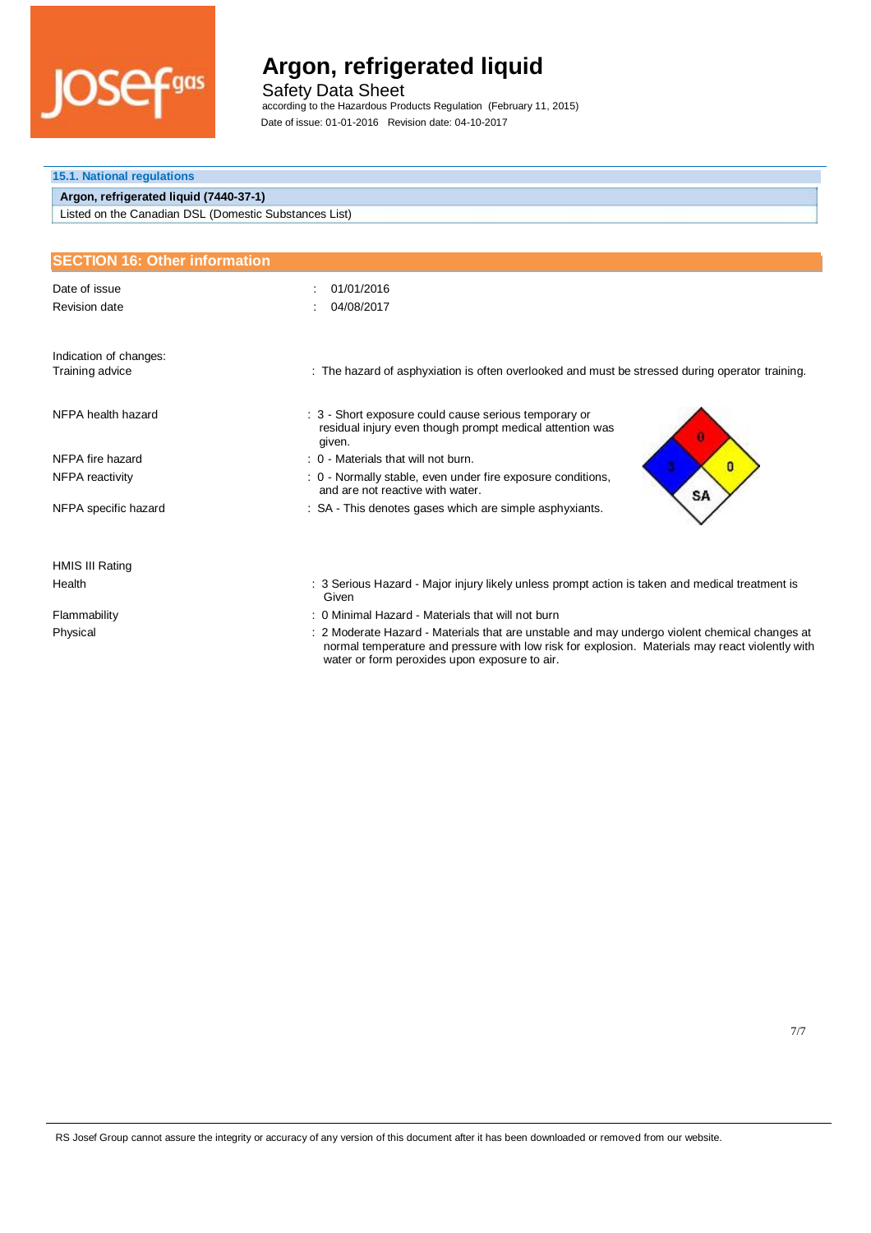

Safety Data Sheet

according to the Hazardous Products Regulation (February 11, 2015)

| <b>15.1. National regulations</b>                     |                                                                                                          |  |
|-------------------------------------------------------|----------------------------------------------------------------------------------------------------------|--|
| Argon, refrigerated liquid (7440-37-1)                |                                                                                                          |  |
| Listed on the Canadian DSL (Domestic Substances List) |                                                                                                          |  |
|                                                       |                                                                                                          |  |
| <b>SECTION 16: Other information</b>                  |                                                                                                          |  |
| Date of issue                                         | 01/01/2016                                                                                               |  |
| Revision date                                         | 04/08/2017                                                                                               |  |
|                                                       |                                                                                                          |  |
| Indication of changes:                                |                                                                                                          |  |
| Training advice                                       | : The hazard of asphyxiation is often overlooked and must be stressed during operator training.          |  |
|                                                       |                                                                                                          |  |
| NFPA health hazard                                    | : 3 - Short exposure could cause serious temporary or                                                    |  |
|                                                       | residual injury even though prompt medical attention was<br>given.                                       |  |
| NFPA fire hazard                                      | : 0 - Materials that will not burn.<br>O                                                                 |  |
| NFPA reactivity                                       | : 0 - Normally stable, even under fire exposure conditions,<br>and are not reactive with water.<br>SA    |  |
| NFPA specific hazard                                  | : SA - This denotes gases which are simple asphyxiants.                                                  |  |
|                                                       |                                                                                                          |  |
|                                                       |                                                                                                          |  |
| HMIS III Rating                                       |                                                                                                          |  |
| Health                                                | : 3 Serious Hazard - Major injury likely unless prompt action is taken and medical treatment is<br>Given |  |
| Flammability                                          | 0 Minimal Hazard - Materials that will not burn                                                          |  |
| Physical                                              | : 2 Moderate Hazard - Materials that are unstable and may undergo violent chemical changes at            |  |

normal temperature and pressure with low risk for explosion. Materials may react violently with water or form peroxides upon exposure to air.